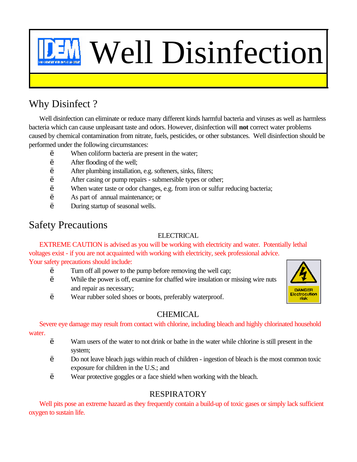# Well Disinfection

# Why Disinfect ?

Well disinfection can eliminate or reduce many different kinds harmful bacteria and viruses as well as harmless bacteria which can cause unpleasant taste and odors. However, disinfection will **not** correct water problems caused by chemical contamination from nitrate, fuels, pesticides, or other substances. Well disinfection should be performed under the following circumstances:

- When coliform bacteria are present in the water;
- After flooding of the well;
- After plumbing installation, e.g. softeners, sinks, filters;
- After casing or pump repairs submersible types or other;
- ' When water taste or odor changes, e.g. from iron or sulfur reducing bacteria;
- ' As part of annual maintenance; or
- ' During startup of seasonal wells.

# Safety Precautions

#### ELECTRICAL

EXTREME CAUTION is advised as you will be working with electricity and water. Potentially lethal voltages exist - if you are not acquainted with working with electricity, seek professional advice. Your safety precautions should include:

' Turn off all power to the pump before removing the well cap;

Wear rubber soled shoes or boots, preferably waterproof.

- ' While the power is off, examine for chaffed wire insulation or missing wire nuts and repair as necessary;
- **DANGER** Electrocution risk

## **CHEMICAL**

Severe eye damage may result from contact with chlorine, including bleach and highly chlorinated household water.

- ' Warn users of the water to not drink or bathe in the water while chlorine is still present in the system;
- ' Do not leave bleach jugs within reach of children ingestion of bleach is the most common toxic exposure for children in the U.S.; and
- ' Wear protective goggles or a face shield when working with the bleach.

# RESPIRATORY

Well pits pose an extreme hazard as they frequently contain a build-up of toxic gases or simply lack sufficient oxygen to sustain life.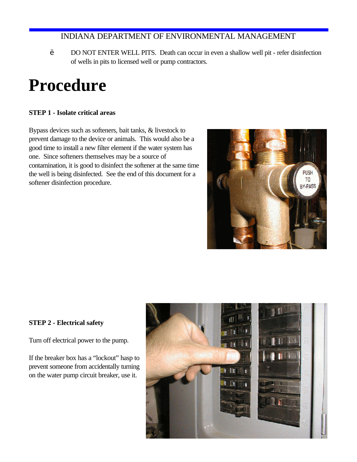' DO NOT ENTER WELL PITS. Death can occur in even a shallow well pit - refer disinfection of wells in pits to licensed well or pump contractors.

# **Procedure**

#### **STEP 1 - Isolate critical areas**

Bypass devices such as softeners, bait tanks, & livestock to prevent damage to the device or animals. This would also be a good time to install a new filter element if the water system has one. Since softeners themselves may be a source of contamination, it is good to disinfect the softener at the same time the well is being disinfected. See the end of this document for a softener disinfection procedure.



#### **STEP 2 - Electrical safety**

Turn off electrical power to the pump.

If the breaker box has a "lockout" hasp to prevent someone from accidentally turning on the water pump circuit breaker, use it.

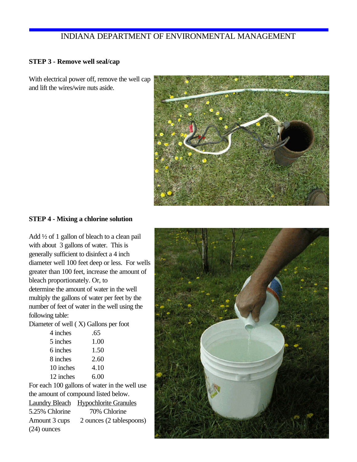#### **STEP 3 - Remove well seal/cap**

With electrical power off, remove the well cap and lift the wires/wire nuts aside.



#### **STEP 4 - Mixing a chlorine solution**

Add ½ of 1 gallon of bleach to a clean pail with about 3 gallons of water. This is generally sufficient to disinfect a 4 inch diameter well 100 feet deep or less. For wells greater than 100 feet, increase the amount of bleach proportionately. Or, to determine the amount of water in the well multiply the gallons of water per feet by the number of feet of water in the well using the following table:

Diameter of well ( X) Gallons per foot

| 4 inches  | .65  |
|-----------|------|
| 5 inches  | 1.00 |
| 6 inches  | 1.50 |
| 8 inches  | 2.60 |
| 10 inches | 4.10 |
| 12 inches | 6.00 |
|           |      |

For each 100 gallons of water in the well use the amount of compound listed below.

|                | <b>Laundry Bleach</b> Hypochlorite Granules |
|----------------|---------------------------------------------|
| 5.25% Chlorine | 70% Chlorine                                |
| Amount 3 cups  | 2 ounces (2 tablespoons)                    |
| $(24)$ ounces  |                                             |

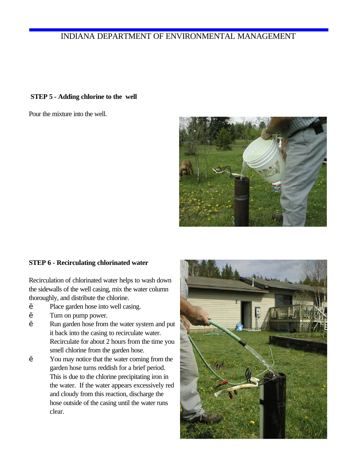#### **STEP 5 - Adding chlorine to the well**

Pour the mixture into the well.



#### **STEP 6 - Recirculating chlorinated water**

Recirculation of chlorinated water helps to wash down the sidewalls of the well casing, mix the water column thoroughly, and distribute the chlorine.

- Place garden hose into well casing.
- Turn on pump power.
- ' Run garden hose from the water system and put it back into the casing to recirculate water. Recirculate for about 2 hours from the time you smell chlorine from the garden hose.
- You may notice that the water coming from the garden hose turns reddish for a brief period. This is due to the chlorine precipitating iron in the water. If the water appears excessively red and cloudy from this reaction, discharge the hose outside of the casing until the water runs clear.

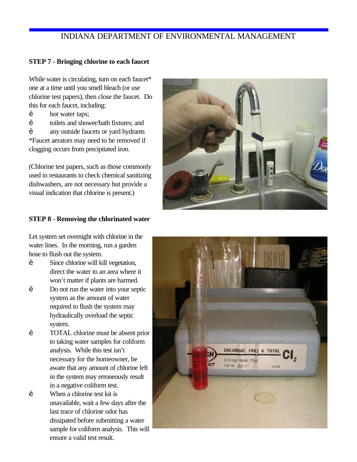#### **STEP 7 - Bringing chlorine to each faucet**

While water is circulating, turn on each faucet\* one at a time until you smell bleach (or use chlorine test papers), then close the faucet. Do this for each faucet, including:

- hot water taps;
- ' toilets and shower/bath fixtures; and
- any outside faucets or yard hydrants

\*Faucet aerators may need to be removed if clogging occurs from precipitated iron.

(Chlorine test papers, such as those commonly used in restaurants to check chemical sanitizing dishwashers, are not necessary but provide a visual indication that chlorine is present.)

#### **STEP 8 - Removing the chlorinated water**

Let system set overnight with chlorine in the water lines. In the morning, run a garden hose to flush out the system.

- ' Since chlorine will kill vegetation, direct the water to an area where it won't matter if plants are harmed.
- ' Do not run the water into your septic system as the amount of water required to flush the system may hydraulically overload the septic system.
- ' TOTAL chlorine must be absent prior to taking water samples for coliform analysis. While this test isn't necessary for the homeowner, be aware that any amount of chlorine left in the system may erroneously result in a negative coliform test. ' When a chlorine test kit is unavailable, wait a few days after the last trace of chlorine odor has dissipated before submitting a water sample for coliform analysis. This will ensure a valid test result.